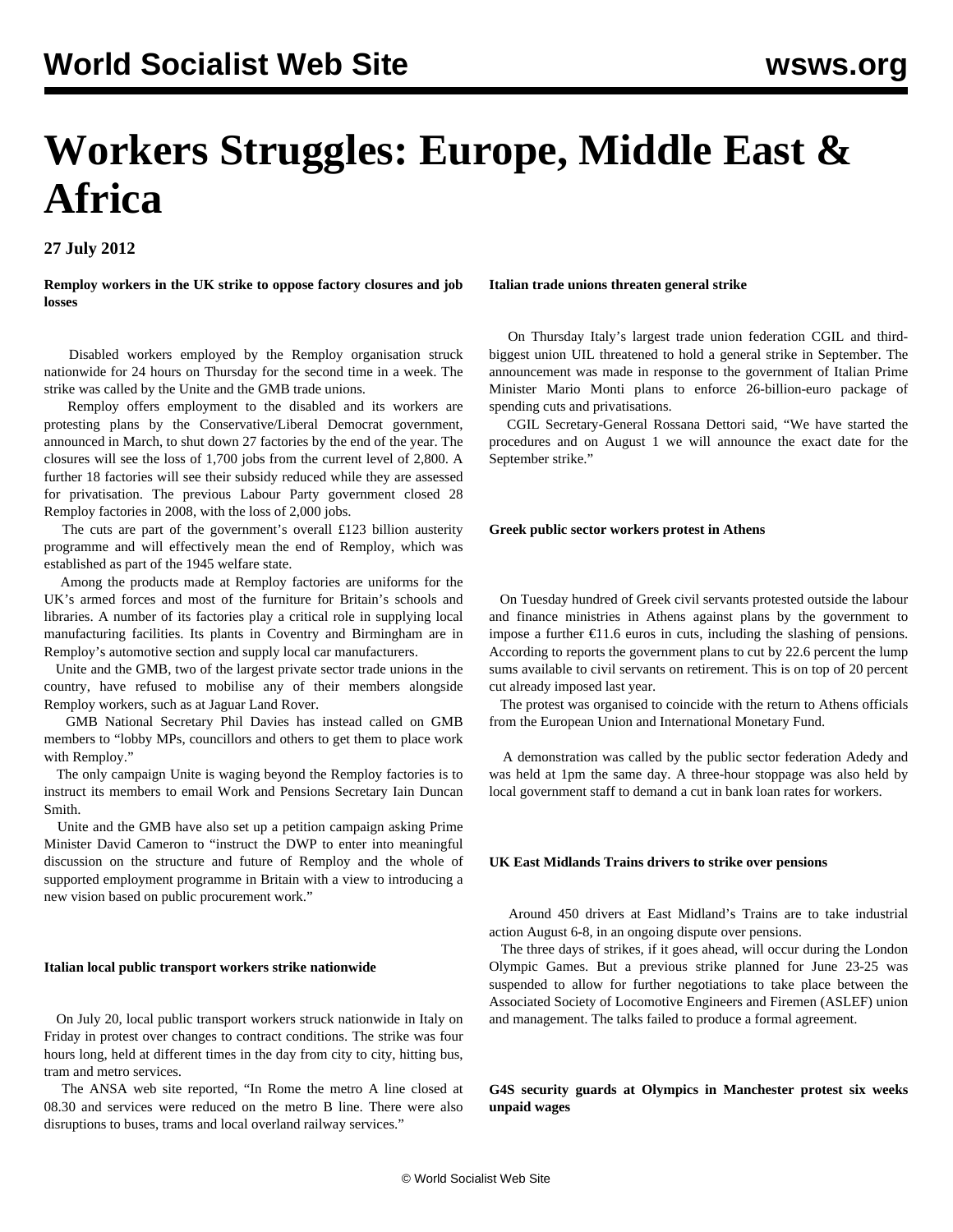# **Workers Struggles: Europe, Middle East & Africa**

**27 July 2012**

**Remploy workers in the UK strike to oppose factory closures and job losses**

 Disabled workers employed by the Remploy organisation struck nationwide for 24 hours on Thursday for the second time in a week. The strike was called by the Unite and the GMB trade unions.

 Remploy offers employment to the disabled and its workers are protesting plans by the Conservative/Liberal Democrat government, announced in March, to shut down 27 factories by the end of the year. The closures will see the loss of 1,700 jobs from the current level of 2,800. A further 18 factories will see their subsidy reduced while they are assessed for privatisation. The previous Labour Party government closed 28 Remploy factories in 2008, with the loss of 2,000 jobs.

 The cuts are part of the government's overall £123 billion austerity programme and will effectively mean the end of Remploy, which was established as part of the 1945 welfare state.

 Among the products made at Remploy factories are uniforms for the UK's armed forces and most of the furniture for Britain's schools and libraries. A number of its factories play a critical role in supplying local manufacturing facilities. Its plants in Coventry and Birmingham are in Remploy's automotive section and supply local car manufacturers.

 Unite and the GMB, two of the largest private sector trade unions in the country, have refused to mobilise any of their members alongside Remploy workers, such as at Jaguar Land Rover.

 GMB National Secretary Phil Davies has instead called on GMB members to "lobby MPs, councillors and others to get them to place work with Remploy."

 The only campaign Unite is waging beyond the Remploy factories is to instruct its members to email Work and Pensions Secretary Iain Duncan Smith.

 Unite and the GMB have also set up a petition campaign asking Prime Minister David Cameron to "instruct the DWP to enter into meaningful discussion on the structure and future of Remploy and the whole of supported employment programme in Britain with a view to introducing a new vision based on public procurement work."

## **Italian local public transport workers strike nationwide**

 On July 20, local public transport workers struck nationwide in Italy on Friday in protest over changes to contract conditions. The strike was four hours long, held at different times in the day from city to city, hitting bus, tram and metro services.

 The ANSA web site reported, "In Rome the metro A line closed at 08.30 and services were reduced on the metro B line. There were also disruptions to buses, trams and local overland railway services."

**Italian trade unions threaten general strike**

 On Thursday Italy's largest trade union federation CGIL and thirdbiggest union UIL threatened to hold a general strike in September. The announcement was made in response to the government of Italian Prime Minister Mario Monti plans to enforce 26-billion-euro package of spending cuts and privatisations.

 CGIL Secretary-General Rossana Dettori said, "We have started the procedures and on August 1 we will announce the exact date for the September strike."

#### **Greek public sector workers protest in Athens**

 On Tuesday hundred of Greek civil servants protested outside the labour and finance ministries in Athens against plans by the government to impose a further €11.6 euros in cuts, including the slashing of pensions. According to reports the government plans to cut by 22.6 percent the lump sums available to civil servants on retirement. This is on top of 20 percent cut already imposed last year.

 The protest was organised to coincide with the return to Athens officials from the European Union and International Monetary Fund.

 A demonstration was called by the public sector federation Adedy and was held at 1pm the same day. A three-hour stoppage was also held by local government staff to demand a cut in bank loan rates for workers.

### **UK East Midlands Trains drivers to strike over pensions**

 Around 450 drivers at East Midland's Trains are to take industrial action August 6-8, in an ongoing dispute over pensions.

 The three days of strikes, if it goes ahead, will occur during the London Olympic Games. But a previous strike planned for June 23-25 was suspended to allow for further negotiations to take place between the Associated Society of Locomotive Engineers and Firemen (ASLEF) union and management. The talks failed to produce a formal agreement.

**G4S security guards at Olympics in Manchester protest six weeks unpaid wages**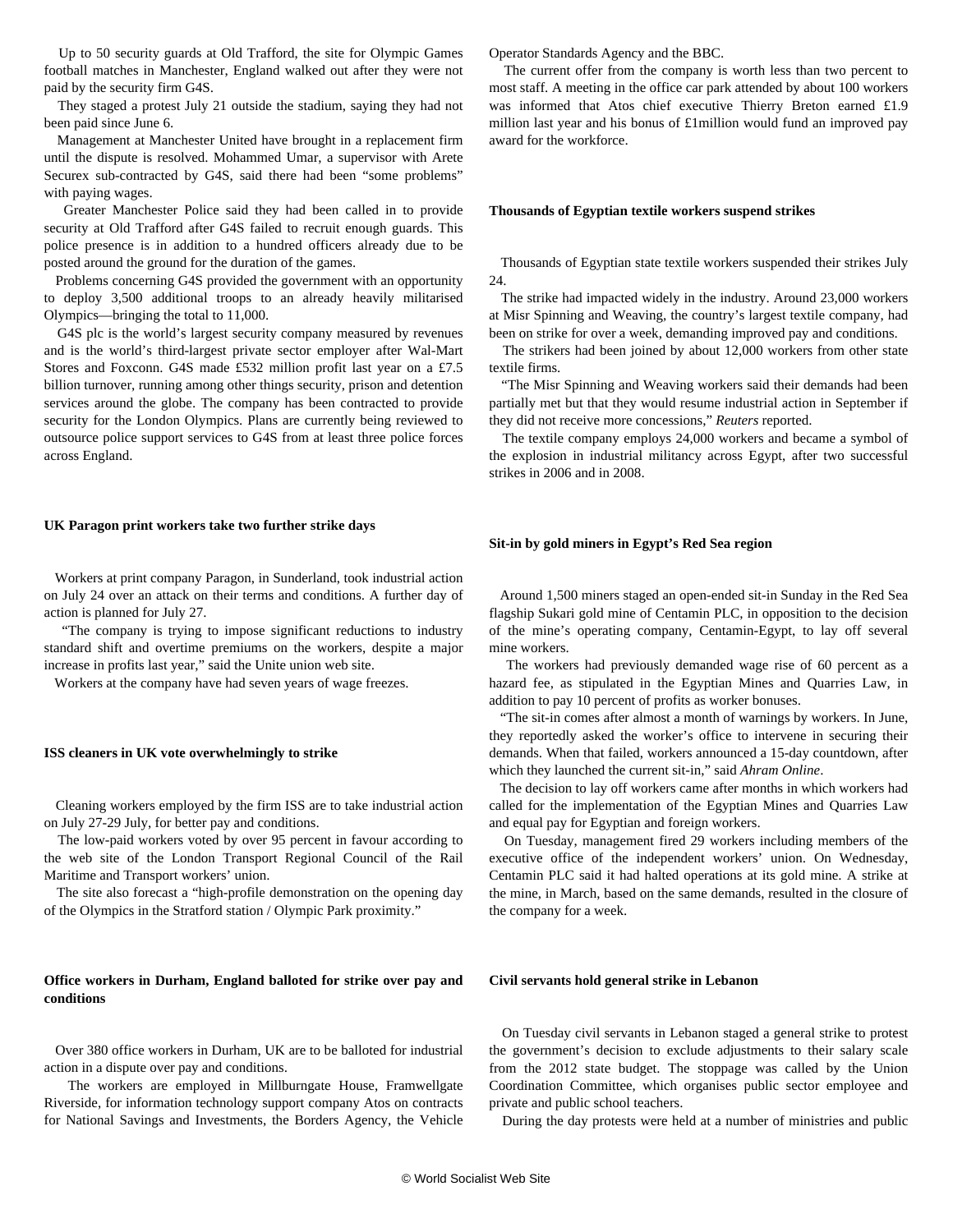Up to 50 security guards at Old Trafford, the site for Olympic Games football matches in Manchester, England walked out after they were not paid by the security firm G4S.

 They staged a protest July 21 outside the stadium, saying they had not been paid since June 6.

 Management at Manchester United have brought in a replacement firm until the dispute is resolved. Mohammed Umar, a supervisor with Arete Securex sub-contracted by G4S, said there had been "some problems" with paying wages.

 Greater Manchester Police said they had been called in to provide security at Old Trafford after G4S failed to recruit enough guards. This police presence is in addition to a hundred officers already due to be posted around the ground for the duration of the games.

 Problems concerning G4S provided the government with an opportunity to deploy 3,500 additional troops to an already heavily militarised Olympics—bringing the total to 11,000.

 G4S plc is the world's largest security company measured by revenues and is the world's third-largest private sector employer after Wal-Mart Stores and Foxconn. G4S made £532 million profit last year on a £7.5 billion turnover, running among other things security, prison and detention services around the globe. The company has been contracted to provide security for the London Olympics. Plans are currently being reviewed to outsource police support services to G4S from at least three police forces across England.

#### **UK Paragon print workers take two further strike days**

 Workers at print company Paragon, in Sunderland, took industrial action on July 24 over an attack on their terms and conditions. A further day of action is planned for July 27.

 "The company is trying to impose significant reductions to industry standard shift and overtime premiums on the workers, despite a major increase in profits last year," said the Unite union web site.

Workers at the company have had seven years of wage freezes.

#### **ISS cleaners in UK vote overwhelmingly to strike**

 Cleaning workers employed by the firm ISS are to take industrial action on July 27-29 July, for better pay and conditions.

 The low-paid workers voted by over 95 percent in favour according to the web site of the London Transport Regional Council of the Rail Maritime and Transport workers' union.

 The site also forecast a "high-profile demonstration on the opening day of the Olympics in the Stratford station / Olympic Park proximity."

# **Office workers in Durham, England balloted for strike over pay and conditions**

 Over 380 office workers in Durham, UK are to be balloted for industrial action in a dispute over pay and conditions.

 The workers are employed in Millburngate House, Framwellgate Riverside, for information technology support company Atos on contracts for National Savings and Investments, the Borders Agency, the Vehicle

Operator Standards Agency and the BBC.

 The current offer from the company is worth less than two percent to most staff. A meeting in the office car park attended by about 100 workers was informed that Atos chief executive Thierry Breton earned £1.9 million last year and his bonus of £1million would fund an improved pay award for the workforce.

#### **Thousands of Egyptian textile workers suspend strikes**

 Thousands of Egyptian state textile workers suspended their strikes July 24.

 The strike had impacted widely in the industry. Around 23,000 workers at Misr Spinning and Weaving, the country's largest textile company, had been on strike for over a week, demanding improved pay and conditions.

 The strikers had been joined by about 12,000 workers from other state textile firms.

 "The Misr Spinning and Weaving workers said their demands had been partially met but that they would resume industrial action in September if they did not receive more concessions," *Reuters* reported.

 The textile company employs 24,000 workers and became a symbol of the explosion in industrial militancy across Egypt, after two successful strikes in 2006 and in 2008.

#### **Sit-in by gold miners in Egypt's Red Sea region**

 Around 1,500 miners staged an open-ended sit-in Sunday in the Red Sea flagship Sukari gold mine of Centamin PLC, in opposition to the decision of the mine's operating company, Centamin-Egypt, to lay off several mine workers.

 The workers had previously demanded wage rise of 60 percent as a hazard fee, as stipulated in the Egyptian Mines and Quarries Law, in addition to pay 10 percent of profits as worker bonuses.

 "The sit-in comes after almost a month of warnings by workers. In June, they reportedly asked the worker's office to intervene in securing their demands. When that failed, workers announced a 15-day countdown, after which they launched the current sit-in," said *Ahram Online*.

 The decision to lay off workers came after months in which workers had called for the implementation of the Egyptian Mines and Quarries Law and equal pay for Egyptian and foreign workers.

 On Tuesday, management fired 29 workers including members of the executive office of the independent workers' union. On Wednesday, Centamin PLC said it had halted operations at its gold mine. A strike at the mine, in March, based on the same demands, resulted in the closure of the company for a week.

#### **Civil servants hold general strike in Lebanon**

 On Tuesday civil servants in Lebanon staged a general strike to protest the government's decision to exclude adjustments to their salary scale from the 2012 state budget. The stoppage was called by the Union Coordination Committee, which organises public sector employee and private and public school teachers.

During the day protests were held at a number of ministries and public